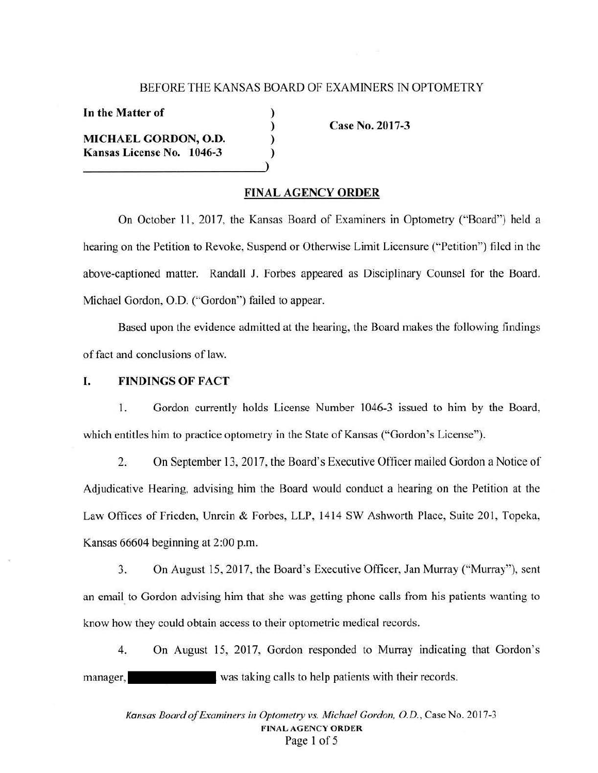## BEFORE THE KANSAS BOARD OF EXAMINERS IN OPTOMETRY

) ) ) )

**In the Matter of** 

**MICHAEL GORDON, O.D. Kansas License No. 1046-3** 

**Case No. 2017-3** 

#### **FINAL AGENCY ORDER**

On October 11 , 2017, the Kansas Board of Examiners in Optometry ("Board") held a hearing on the Petition to Revoke, Suspend or Otherwise Limit Licensure ("Petition") filed in the above-captioned matter. Randall J. Forbes appeared as Disciplinary Counsel for the Board. Michael Gordon, O.D. ("Gordon") failed to appear.

Based upon the evidence admitted at the hearing, the Board makes the following findings of fact and conclusions of law.

#### I. **FINDINGS OF FACT**

1. Gordon currently holds License Number 1046-3 issued to him by the Board, which entitles him to practice optometry in the State of Kansas ("Gordon's License").

2. On September 13, 2017, the Board's Executive Officer mailed Gordon a Notice of Adjudicative Hearing, advising him the Board would conduct a hearing on the Petition at the Law Offices of Frieden, Unrein & Forbes, LLP, 1414 SW Ashworth Place, Suite 201, Topeka, Kansas 66604 beginning at 2:00 p.m.

3. On August 15, 2017, the Board's Executive Officer, Jan Murray ("Murray"), sent an email to Gordon advising him that she was getting phone calls from his patients wanting to know how they could obtain access lo their optometric medical records.

4. On August 15, 2017, Gordon responded to Murray indicating that Gordon's manager, was taking calls to help patients with their records.

*Kansas Board of Examiners in Optometry vs. Michael Gordon, O.D. ,* Case No. 2017-3 **FINAL AGENCY ORDER**  Page I of 5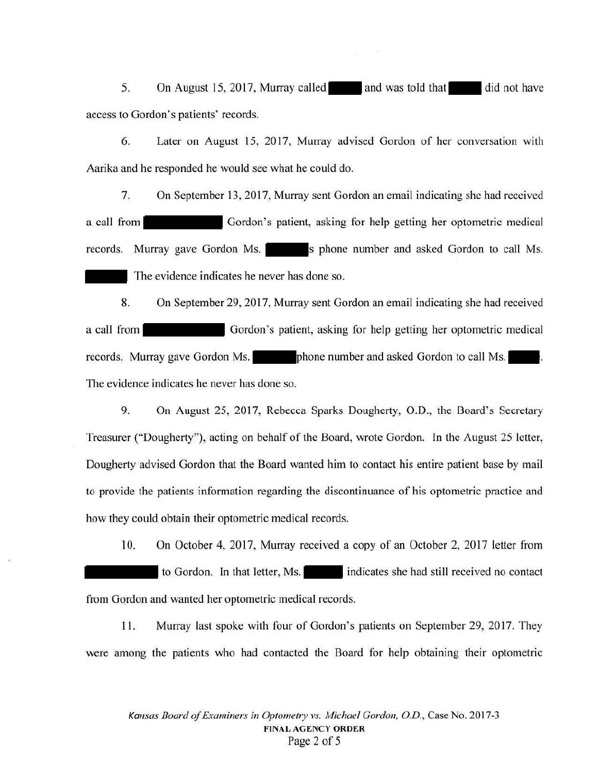5. On August 15, 2017, Murray called and was told that did not have access to Gordon's patients' records.

6. Later on August l5, 20l7, Murray advised Gordon of her conversation with Aarika and he responded he would see what he could do.

7. On September 13, 2017, Murray sent Gordon an email indicating she had received a call from Gordon's patient, asking for help getting her optometric medical records. Murray gave Gordon Ms. <sup>1</sup> s phone number and asked Gordon to call Ms. The evidence indicates he never has done so.

8. On September 29, 2017, Murray sent Gordon an email indicating she had received a call from Gordon's patient, asking for help getting her optometric medical records. Murray gave Gordon Ms. **let up a phone number and asked Gordon to call Ms.** The evidence indicates he never has done so.

9. On August 25, 2017, Rebecca Sparks Dougherty, 0.D., the Board's Secretary Treasurer ("Dougherty"), acting on behalf of the Board, wrote Gordon. ln the August 25 letter, Dougherty advised Gordon that the Board wanted him to contact his entire patient base by mail to provide the patients information regarding the discontinuance of his optometric practice and how they could obtain their optometric medical records.

10. On October 4, 2017, Murray received a copy of an October 2, 2017 letter from to Gordon. In that letter, Ms. indicates she had still received no contact from Gordon and wanted her optometric medical records.

11. Murray last spoke with four of Gordon's patients on September 29, 2017. They were among the patients who had contacted the Board for help obtaining their optometric

*Kansas Board of Examiners in Optomehy vs. Michael Gordon, O.D.,* Case No. 2017-3 **FINAL AGENCY ORDER**  Page 2 of 5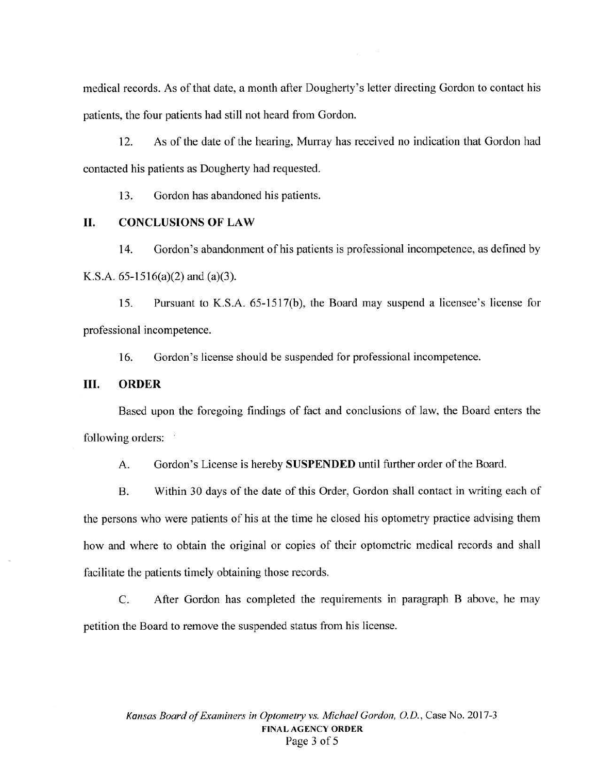medical records. As of that date, a month after Dougherty's letter directing Gordon to contact his patients, the four patients had still not heard from Gordon.

12. As of the date of the hearing, Murray has received no indication that Gordon had contacted his patients as Dougherty had requested.

13. Gordon has abandoned his patients.

## II. **CONCLUSIONS OF LAW**

14. Gordon's abandonment of his patients is professional incompetence, as defined by K.S.A. 65-1516(a)(2) and (a)(3).

15. Pursuant to K.S.A. 65-1517(b), the Board may suspend a licensee's license for professional incompetence.

16. Gordon's license should be suspended for professional incompetence.

## III. **ORDER**

Based upon the foregoing findings of fact and conclusions of law, the Board enters the following orders:

A. Gordon's License is hereby **SUSPENDED** until further order of the Board.

B. Within 30 days of the date of this Order, Gordon shall contact in writing each of the persons who were patients of his at the time he closed his optometry practice advising them how and where to obtain the original or copies of their optometric medical records and shall facilitate the patients timely obtaining those records.

C. After Gordon has completed the requirements in paragraph B above, he may petition the Board to remove the suspended status from his license.

*Kansas Board of Examiners in Optometry vs. Michael Gordon, O.D.,* Case No.2017-3 **FINAL AGENCY ORDER**  Page 3 of 5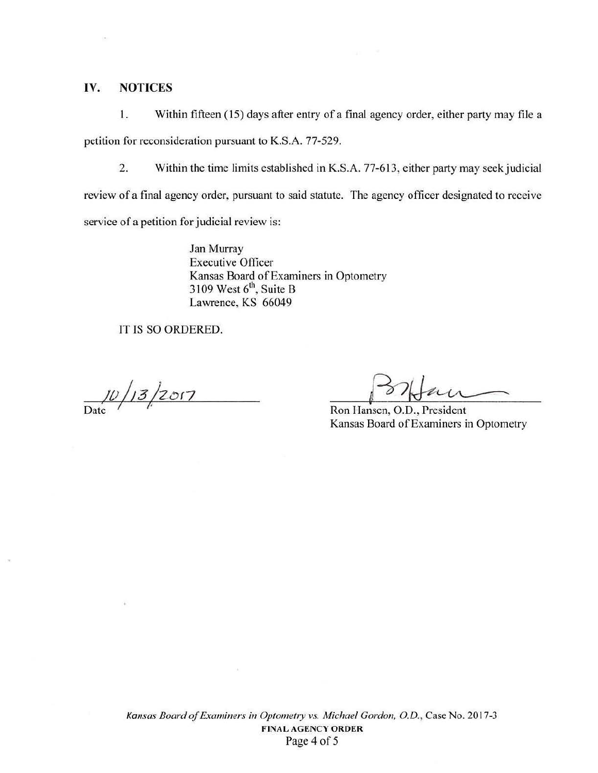### **IV. NOTICES**

1. Within fifteen (15) days after entry of a final agency order, either party may file a petition for reconsideration pursuant to K.S.A. 77-529.

2. Within the time limits established in K.S.A. 77-613, either party may seek judicial

review of a final agency order, pursuant to said statute. The agency officer designated to receive

service of a petition for judicial review is:

Jan Murray Executive Officer Kansas Board of Examiners in Optometry 3109 West  $6<sup>th</sup>$ , Suite B Lawrence, KS 66049

IT IS SO ORDERED.

 $\frac{10}{\text{Date}}$  / 13/2017 Ron Hansen, O.D., President

Kansas Board of Examiners in Optometry

 $\sim$